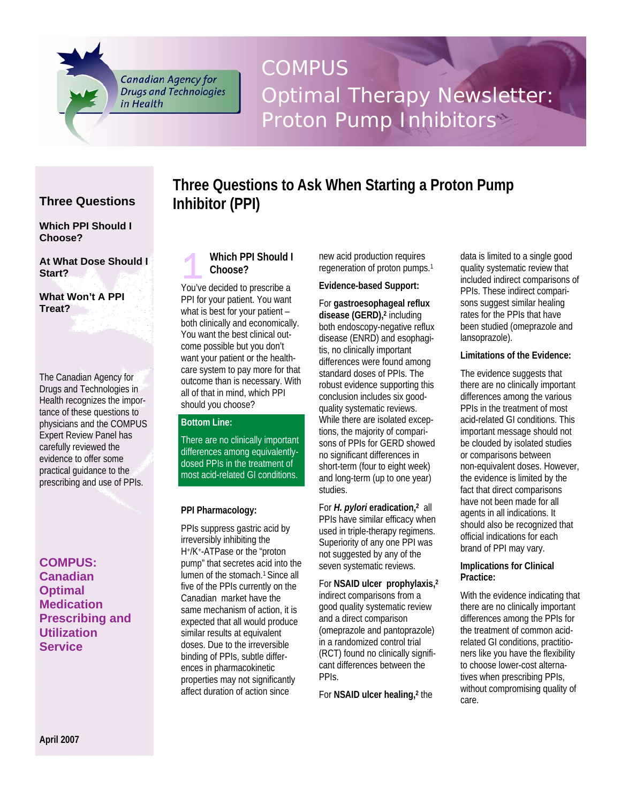**Canadian Agency for Drugs and Technologies** in Health

# COMPUS Optimal Therapy Newsletter: Proton Pump Inhibitors

# **Three Questions**

**Which PPI Should I Choose?** 

**At What Dose Should I Start?** 

**What Won't A PPI Treat?** 

The Canadian Agency for Drugs and Technologies in Health recognizes the importance of these questions to physicians and the COMPUS Expert Review Panel has carefully reviewed the evidence to offer some practical guidance to the prescribing and use of PPIs.

# **COMPUS: Canadian Optimal Medication Prescribing and Utilization Service**



**Inhibitor (PPI)** 

You've decided to prescribe a PPI for your patient. You want what is best for your patient – both clinically and economically. You want the best clinical outcome possible but you don't want your patient or the healthcare system to pay more for that outcome than is necessary. With all of that in mind, which PPI should you choose?

# **Bottom Line:**

There are no clinically important differences among equivalentlydosed PPIs in the treatment of most acid-related GI conditions.

#### **PPI Pharmacology:**

PPIs suppress gastric acid by irreversibly inhibiting the H+/K+-ATPase or the "proton pump" that secretes acid into the lumen of the stomach.<sup>1</sup> Since all five of the PPIs currently on the Canadian market have the same mechanism of action, it is expected that all would produce similar results at equivalent doses. Due to the irreversible binding of PPIs, subtle differences in pharmacokinetic properties may not significantly affect duration of action since

new acid production requires regeneration of proton pumps.1

# **Evidence-based Support:**

**Three Questions to Ask When Starting a Proton Pump** 

For **gastroesophageal reflux disease (GERD),2** including both endoscopy-negative reflux disease (ENRD) and esophagitis, no clinically important differences were found among standard doses of PPIs. The robust evidence supporting this conclusion includes six goodquality systematic reviews. While there are isolated exceptions, the majority of comparisons of PPIs for GERD showed no significant differences in short-term (four to eight week) and long-term (up to one year) studies.

For *H. pylori* **eradication,2** all PPIs have similar efficacy when used in triple-therapy regimens. Superiority of any one PPI was not suggested by any of the seven systematic reviews.

For **NSAID ulcer prophylaxis,2** indirect comparisons from a good quality systematic review and a direct comparison (omeprazole and pantoprazole) in a randomized control trial (RCT) found no clinically significant differences between the PPIs.

For **NSAID ulcer healing,2** the

data is limited to a single good quality systematic review that included indirect comparisons of PPIs. These indirect comparisons suggest similar healing rates for the PPIs that have been studied (omeprazole and lansoprazole).

#### **Limitations of the Evidence:**

The evidence suggests that there are no clinically important differences among the various PPIs in the treatment of most acid-related GI conditions. This important message should not be clouded by isolated studies or comparisons between non-equivalent doses. However, the evidence is limited by the fact that direct comparisons have not been made for all agents in all indications. It should also be recognized that official indications for each brand of PPI may vary.

#### **Implications for Clinical Practice:**

With the evidence indicating that there are no clinically important differences among the PPIs for the treatment of common acidrelated GI conditions, practitioners like you have the flexibility to choose lower-cost alternatives when prescribing PPIs, without compromising quality of care.